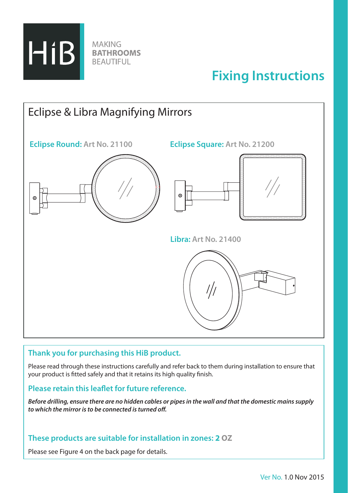

# **Fixing Instructions**



## **Thank you for purchasing this HiB product.**

Please read through these instructions carefully and refer back to them during installation to ensure that your product is fitted safely and that it retains its high quality finish.

### **Please retain this leaflet for future reference.**

*Before drilling, ensure there are no hidden cables or pipes in the wall and that the domestic mains supply to which the mirror is to be connected is turned off.*

### **These products are suitable for installation in zones: 2 OZ**

Please see Figure 4 on the back page for details.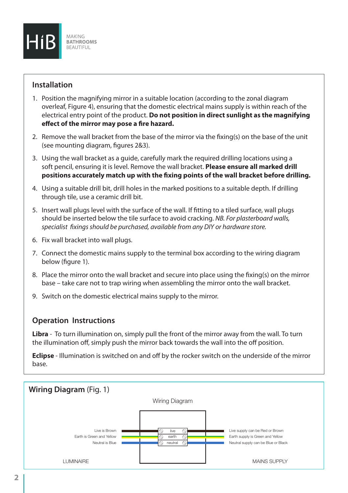

## **Installation**

- 1. Position the magnifying mirror in a suitable location (according to the zonal diagram overleaf, Figure 4), ensuring that the domestic electrical mains supply is within reach of the electrical entry point of the product. **Do not position in direct sunlight as the magnifying effect of the mirror may pose a fire hazard.**
- 2. Remove the wall bracket from the base of the mirror via the fixing(s) on the base of the unit (see mounting diagram, figures 2&3).
- 3. Using the wall bracket as a guide, carefully mark the required drilling locations using a soft pencil, ensuring it is level. Remove the wall bracket. **Please ensure all marked drill positions accurately match up with the fixing points of the wall bracket before drilling.**
- 4. Using a suitable drill bit, drill holes in the marked positions to a suitable depth. If drilling through tile, use a ceramic drill bit.
- 5. Insert wall plugs level with the surface of the wall. If fitting to a tiled surface, wall plugs should be inserted below the tile surface to avoid cracking. *NB. For plasterboard walls, specialist fixings should be purchased, available from any DIY or hardware store.*
- 6. Fix wall bracket into wall plugs.
- 7. Connect the domestic mains supply to the terminal box according to the wiring diagram below (figure 1).
- 8. Place the mirror onto the wall bracket and secure into place using the fixing(s) on the mirror base – take care not to trap wiring when assembling the mirror onto the wall bracket.
- 9. Switch on the domestic electrical mains supply to the mirror.

## **Operation Instructions**

**Libra** - To turn illumination on, simply pull the front of the mirror away from the wall. To turn the illumination off, simply push the mirror back towards the wall into the off position.

**Eclipse** - Illumination is switched on and off by the rocker switch on the underside of the mirror base.

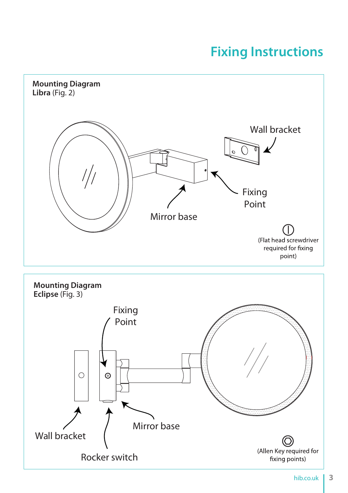# **Fixing Instructions**